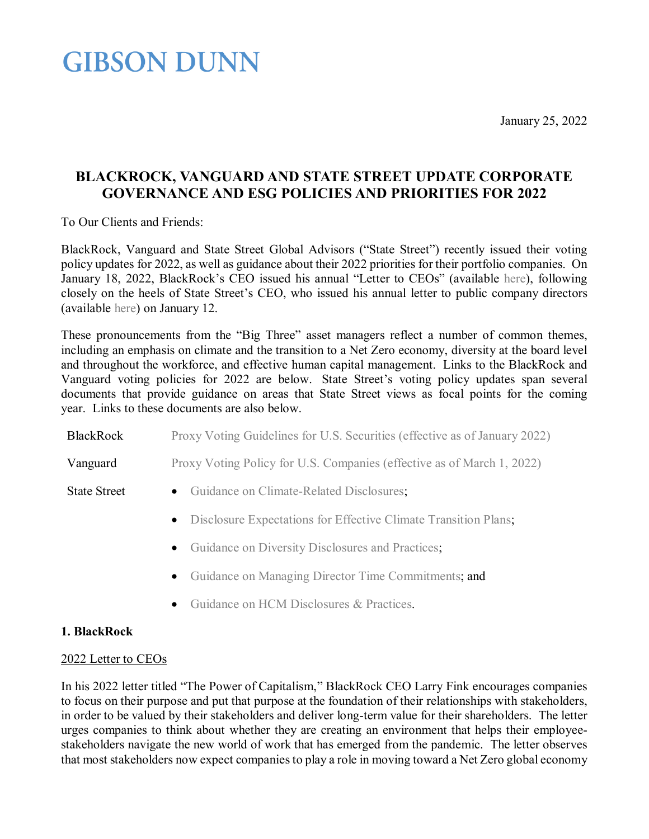January 25, 2022

# **GIBSON DUNN**

# **BLACKROCK, VANGUARD AND STATE STREET UPDATE CORPORATE GOVERNANCE AND ESG POLICIES AND PRIORITIES FOR 2022**

To Our Clients and Friends:

BlackRock, Vanguard and State Street Global Advisors ("State Street") recently issued their voting policy updates for 2022, as well as guidance about their 2022 priorities for their portfolio companies. On January 18, 2022, BlackRock's CEO issued his annual "Letter to CEOs" (available [here\)](https://www.blackrock.com/us/individual/2022-larry-fink-ceo-letter), following closely on the heels of State Street's CEO, who issued his annual letter to public company directors (available [here\)](https://www.ssga.com/library-content/pdfs/insights/ceo-letter-2022-proxy-voting-agenda.pdf) on January 12.

These pronouncements from the "Big Three" asset managers reflect a number of common themes, including an emphasis on climate and the transition to a Net Zero economy, diversity at the board level and throughout the workforce, and effective human capital management. Links to the BlackRock and Vanguard voting policies for 2022 are below. State Street's voting policy updates span several documents that provide guidance on areas that State Street views as focal points for the coming year. Links to these documents are also below.

| <b>BlackRock</b>    | Proxy Voting Guidelines for U.S. Securities (effective as of January 2022) |
|---------------------|----------------------------------------------------------------------------|
| Vanguard            | Proxy Voting Policy for U.S. Companies (effective as of March 1, 2022)     |
| <b>State Street</b> | • Guidance on Climate-Related Disclosures;                                 |
|                     | • Disclosure Expectations for Effective Climate Transition Plans;          |
|                     | • Guidance on Diversity Disclosures and Practices;                         |

- [Guidance on Managing Director Time Commitments;](https://www.ssga.com/library-content/pdfs/insights/guidance-on-managing-director-time-commitments.pdf) and
- [Guidance on HCM Disclosures & Practices.](https://www.ssga.com/library-content/pdfs/global/human-capital-disclosure-practices.pdf)

# **1. BlackRock**

# 2022 Letter to CEOs

In his 2022 letter titled "The Power of Capitalism," BlackRock CEO Larry Fink encourages companies to focus on their purpose and put that purpose at the foundation of their relationships with stakeholders, in order to be valued by their stakeholders and deliver long-term value for their shareholders. The letter urges companies to think about whether they are creating an environment that helps their employeestakeholders navigate the new world of work that has emerged from the pandemic. The letter observes that most stakeholders now expect companies to play a role in moving toward a Net Zero global economy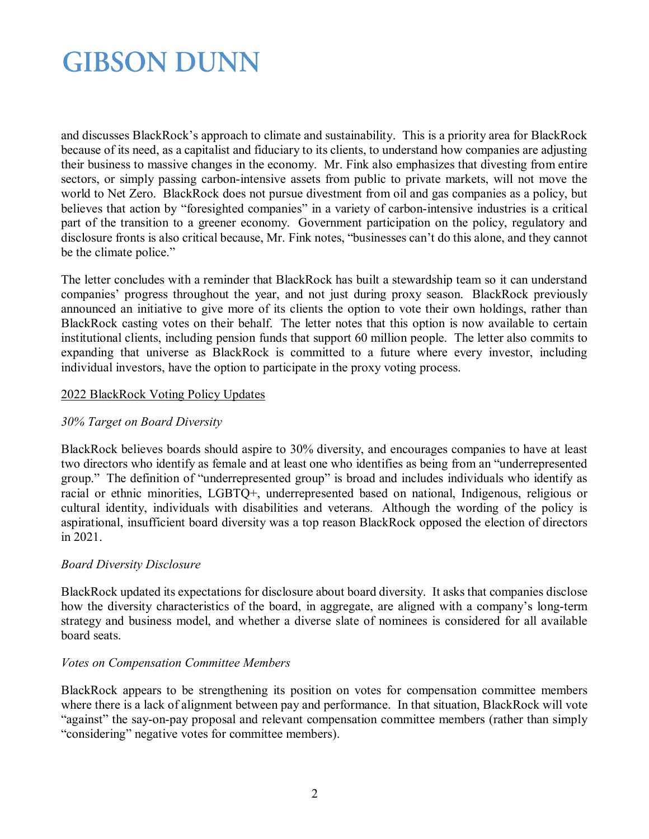and discusses BlackRock's approach to climate and sustainability. This is a priority area for BlackRock because of its need, as a capitalist and fiduciary to its clients, to understand how companies are adjusting their business to massive changes in the economy. Mr. Fink also emphasizes that divesting from entire sectors, or simply passing carbon-intensive assets from public to private markets, will not move the world to Net Zero. BlackRock does not pursue divestment from oil and gas companies as a policy, but believes that action by "foresighted companies" in a variety of carbon-intensive industries is a critical part of the transition to a greener economy. Government participation on the policy, regulatory and disclosure fronts is also critical because, Mr. Fink notes, "businesses can't do this alone, and they cannot be the climate police."

The letter concludes with a reminder that BlackRock has built a stewardship team so it can understand companies' progress throughout the year, and not just during proxy season. BlackRock previously announced an initiative to give more of its clients the option to vote their own holdings, rather than BlackRock casting votes on their behalf. The letter notes that this option is now available to certain institutional clients, including pension funds that support 60 million people. The letter also commits to expanding that universe as BlackRock is committed to a future where every investor, including individual investors, have the option to participate in the proxy voting process.

### 2022 BlackRock Voting Policy Updates

### *30% Target on Board Diversity*

BlackRock believes boards should aspire to 30% diversity, and encourages companies to have at least two directors who identify as female and at least one who identifies as being from an "underrepresented group." The definition of "underrepresented group" is broad and includes individuals who identify as racial or ethnic minorities, LGBTQ+, underrepresented based on national, Indigenous, religious or cultural identity, individuals with disabilities and veterans. Although the wording of the policy is aspirational, insufficient board diversity was a top reason BlackRock opposed the election of directors in 2021.

### *Board Diversity Disclosure*

BlackRock updated its expectations for disclosure about board diversity. It asks that companies disclose how the diversity characteristics of the board, in aggregate, are aligned with a company's long-term strategy and business model, and whether a diverse slate of nominees is considered for all available board seats.

### *Votes on Compensation Committee Members*

BlackRock appears to be strengthening its position on votes for compensation committee members where there is a lack of alignment between pay and performance. In that situation, BlackRock will vote "against" the say-on-pay proposal and relevant compensation committee members (rather than simply "considering" negative votes for committee members).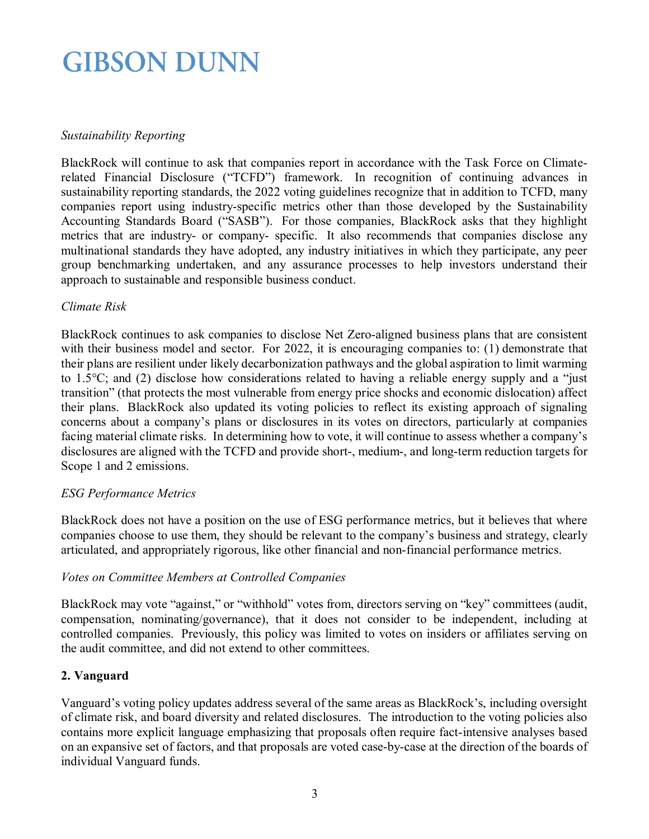### *Sustainability Reporting*

BlackRock will continue to ask that companies report in accordance with the Task Force on Climaterelated Financial Disclosure ("TCFD") framework. In recognition of continuing advances in sustainability reporting standards, the 2022 voting guidelines recognize that in addition to TCFD, many companies report using industry-specific metrics other than those developed by the Sustainability Accounting Standards Board ("SASB"). For those companies, BlackRock asks that they highlight metrics that are industry- or company- specific. It also recommends that companies disclose any multinational standards they have adopted, any industry initiatives in which they participate, any peer group benchmarking undertaken, and any assurance processes to help investors understand their approach to sustainable and responsible business conduct.

### *Climate Risk*

BlackRock continues to ask companies to disclose Net Zero-aligned business plans that are consistent with their business model and sector. For 2022, it is encouraging companies to: (1) demonstrate that their plans are resilient under likely decarbonization pathways and the global aspiration to limit warming to 1.5°C; and (2) disclose how considerations related to having a reliable energy supply and a "just transition" (that protects the most vulnerable from energy price shocks and economic dislocation) affect their plans. BlackRock also updated its voting policies to reflect its existing approach of signaling concerns about a company's plans or disclosures in its votes on directors, particularly at companies facing material climate risks. In determining how to vote, it will continue to assess whether a company's disclosures are aligned with the TCFD and provide short-, medium-, and long-term reduction targets for Scope 1 and 2 emissions.

# *ESG Performance Metrics*

BlackRock does not have a position on the use of ESG performance metrics, but it believes that where companies choose to use them, they should be relevant to the company's business and strategy, clearly articulated, and appropriately rigorous, like other financial and non-financial performance metrics.

### *Votes on Committee Members at Controlled Companies*

BlackRock may vote "against," or "withhold" votes from, directors serving on "key" committees (audit, compensation, nominating/governance), that it does not consider to be independent, including at controlled companies. Previously, this policy was limited to votes on insiders or affiliates serving on the audit committee, and did not extend to other committees.

### **2. Vanguard**

Vanguard's voting policy updates address several of the same areas as BlackRock's, including oversight of climate risk, and board diversity and related disclosures. The introduction to the voting policies also contains more explicit language emphasizing that proposals often require fact-intensive analyses based on an expansive set of factors, and that proposals are voted case-by-case at the direction of the boards of individual Vanguard funds.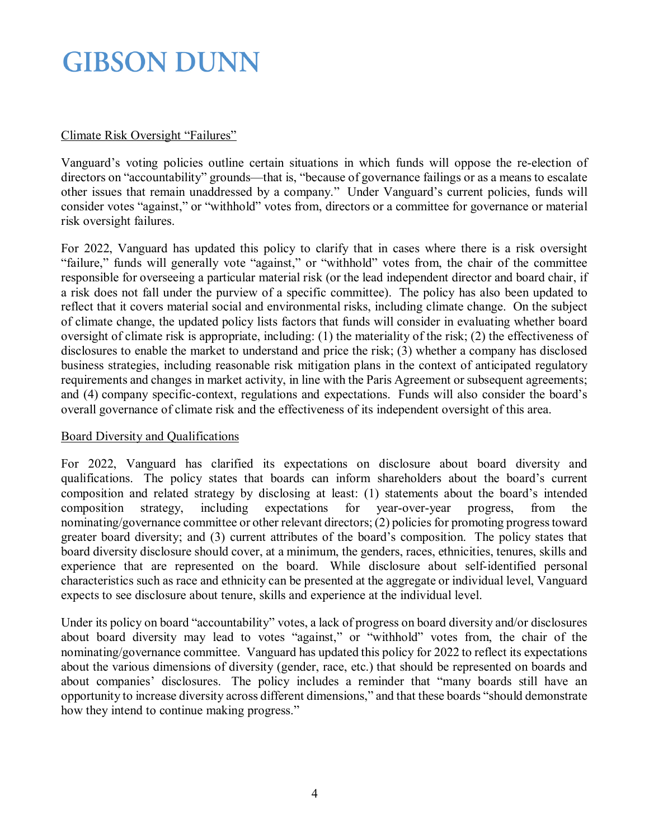# Climate Risk Oversight "Failures"

Vanguard's voting policies outline certain situations in which funds will oppose the re-election of directors on "accountability" grounds—that is, "because of governance failings or as a means to escalate other issues that remain unaddressed by a company." Under Vanguard's current policies, funds will consider votes "against," or "withhold" votes from, directors or a committee for governance or material risk oversight failures.

For 2022, Vanguard has updated this policy to clarify that in cases where there is a risk oversight "failure," funds will generally vote "against," or "withhold" votes from, the chair of the committee responsible for overseeing a particular material risk (or the lead independent director and board chair, if a risk does not fall under the purview of a specific committee). The policy has also been updated to reflect that it covers material social and environmental risks, including climate change. On the subject of climate change, the updated policy lists factors that funds will consider in evaluating whether board oversight of climate risk is appropriate, including: (1) the materiality of the risk; (2) the effectiveness of disclosures to enable the market to understand and price the risk; (3) whether a company has disclosed business strategies, including reasonable risk mitigation plans in the context of anticipated regulatory requirements and changes in market activity, in line with the Paris Agreement or subsequent agreements; and (4) company specific-context, regulations and expectations. Funds will also consider the board's overall governance of climate risk and the effectiveness of its independent oversight of this area.

### Board Diversity and Qualifications

For 2022, Vanguard has clarified its expectations on disclosure about board diversity and qualifications. The policy states that boards can inform shareholders about the board's current composition and related strategy by disclosing at least: (1) statements about the board's intended composition strategy, including expectations for year-over-year progress, from the nominating/governance committee or other relevant directors; (2) policies for promoting progress toward greater board diversity; and (3) current attributes of the board's composition. The policy states that board diversity disclosure should cover, at a minimum, the genders, races, ethnicities, tenures, skills and experience that are represented on the board. While disclosure about self-identified personal characteristics such as race and ethnicity can be presented at the aggregate or individual level, Vanguard expects to see disclosure about tenure, skills and experience at the individual level.

Under its policy on board "accountability" votes, a lack of progress on board diversity and/or disclosures about board diversity may lead to votes "against," or "withhold" votes from, the chair of the nominating/governance committee. Vanguard has updated this policy for 2022 to reflect its expectations about the various dimensions of diversity (gender, race, etc.) that should be represented on boards and about companies' disclosures. The policy includes a reminder that "many boards still have an opportunity to increase diversity across different dimensions," and that these boards "should demonstrate how they intend to continue making progress."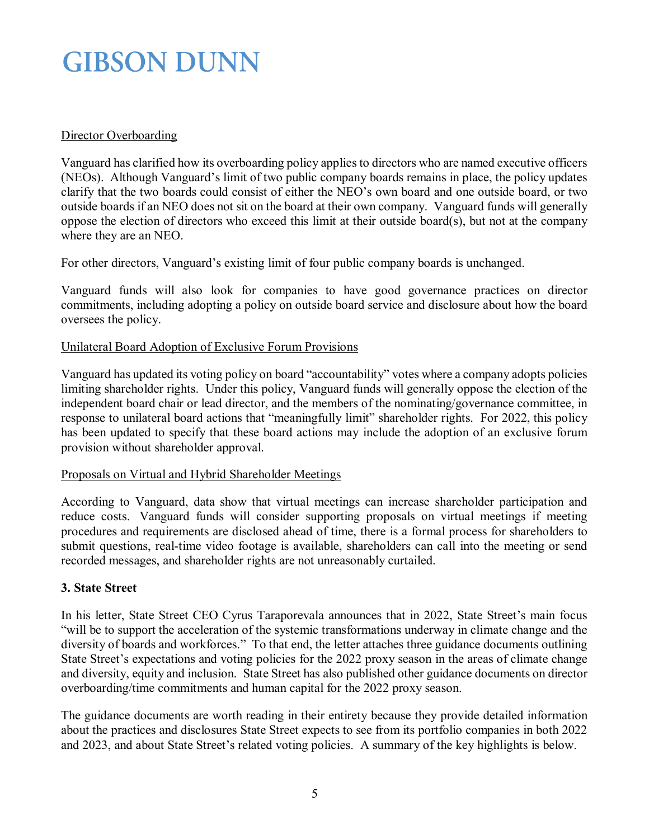# Director Overboarding

Vanguard has clarified how its overboarding policy applies to directors who are named executive officers (NEOs). Although Vanguard's limit of two public company boards remains in place, the policy updates clarify that the two boards could consist of either the NEO's own board and one outside board, or two outside boards if an NEO does not sit on the board at their own company. Vanguard funds will generally oppose the election of directors who exceed this limit at their outside board(s), but not at the company where they are an NEO.

For other directors, Vanguard's existing limit of four public company boards is unchanged.

Vanguard funds will also look for companies to have good governance practices on director commitments, including adopting a policy on outside board service and disclosure about how the board oversees the policy.

### Unilateral Board Adoption of Exclusive Forum Provisions

Vanguard has updated its voting policy on board "accountability" votes where a company adopts policies limiting shareholder rights. Under this policy, Vanguard funds will generally oppose the election of the independent board chair or lead director, and the members of the nominating/governance committee, in response to unilateral board actions that "meaningfully limit" shareholder rights. For 2022, this policy has been updated to specify that these board actions may include the adoption of an exclusive forum provision without shareholder approval.

### Proposals on Virtual and Hybrid Shareholder Meetings

According to Vanguard, data show that virtual meetings can increase shareholder participation and reduce costs. Vanguard funds will consider supporting proposals on virtual meetings if meeting procedures and requirements are disclosed ahead of time, there is a formal process for shareholders to submit questions, real-time video footage is available, shareholders can call into the meeting or send recorded messages, and shareholder rights are not unreasonably curtailed.

### **3. State Street**

In his letter, State Street CEO Cyrus Taraporevala announces that in 2022, State Street's main focus "will be to support the acceleration of the systemic transformations underway in climate change and the diversity of boards and workforces." To that end, the letter attaches three guidance documents outlining State Street's expectations and voting policies for the 2022 proxy season in the areas of climate change and diversity, equity and inclusion. State Street has also published other guidance documents on director overboarding/time commitments and human capital for the 2022 proxy season.

The guidance documents are worth reading in their entirety because they provide detailed information about the practices and disclosures State Street expects to see from its portfolio companies in both 2022 and 2023, and about State Street's related voting policies. A summary of the key highlights is below.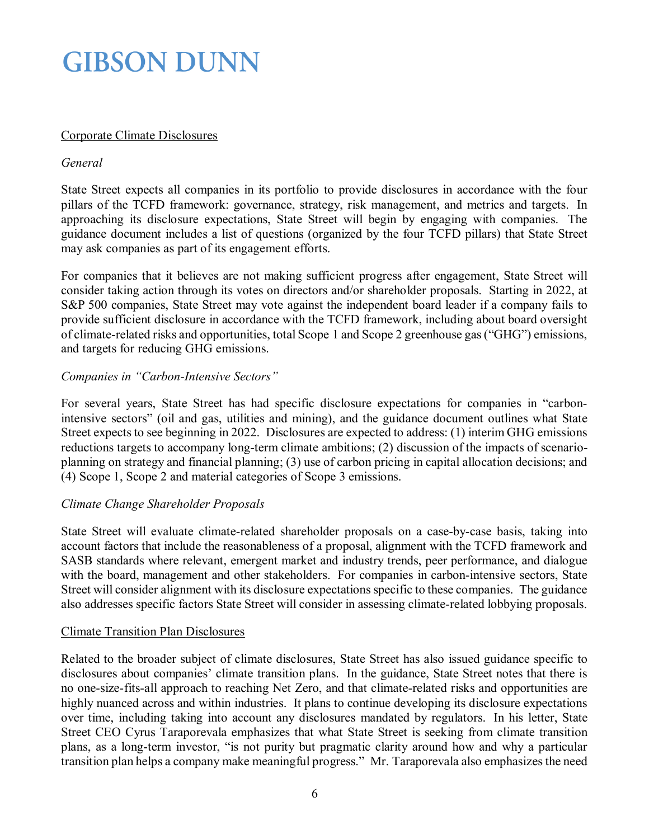# Corporate Climate Disclosures

### *General*

State Street expects all companies in its portfolio to provide disclosures in accordance with the four pillars of the TCFD framework: governance, strategy, risk management, and metrics and targets. In approaching its disclosure expectations, State Street will begin by engaging with companies. The guidance document includes a list of questions (organized by the four TCFD pillars) that State Street may ask companies as part of its engagement efforts.

For companies that it believes are not making sufficient progress after engagement, State Street will consider taking action through its votes on directors and/or shareholder proposals. Starting in 2022, at S&P 500 companies, State Street may vote against the independent board leader if a company fails to provide sufficient disclosure in accordance with the TCFD framework, including about board oversight of climate-related risks and opportunities, total Scope 1 and Scope 2 greenhouse gas ("GHG") emissions, and targets for reducing GHG emissions.

### *Companies in "Carbon-Intensive Sectors"*

For several years, State Street has had specific disclosure expectations for companies in "carbonintensive sectors" (oil and gas, utilities and mining), and the guidance document outlines what State Street expects to see beginning in 2022. Disclosures are expected to address: (1) interim GHG emissions reductions targets to accompany long-term climate ambitions; (2) discussion of the impacts of scenarioplanning on strategy and financial planning; (3) use of carbon pricing in capital allocation decisions; and (4) Scope 1, Scope 2 and material categories of Scope 3 emissions.

# *Climate Change Shareholder Proposals*

State Street will evaluate climate-related shareholder proposals on a case-by-case basis, taking into account factors that include the reasonableness of a proposal, alignment with the TCFD framework and SASB standards where relevant, emergent market and industry trends, peer performance, and dialogue with the board, management and other stakeholders. For companies in carbon-intensive sectors, State Street will consider alignment with its disclosure expectations specific to these companies. The guidance also addresses specific factors State Street will consider in assessing climate-related lobbying proposals.

### Climate Transition Plan Disclosures

Related to the broader subject of climate disclosures, State Street has also issued guidance specific to disclosures about companies' climate transition plans. In the guidance, State Street notes that there is no one-size-fits-all approach to reaching Net Zero, and that climate-related risks and opportunities are highly nuanced across and within industries. It plans to continue developing its disclosure expectations over time, including taking into account any disclosures mandated by regulators. In his letter, State Street CEO Cyrus Taraporevala emphasizes that what State Street is seeking from climate transition plans, as a long-term investor, "is not purity but pragmatic clarity around how and why a particular transition plan helps a company make meaningful progress." Mr. Taraporevala also emphasizes the need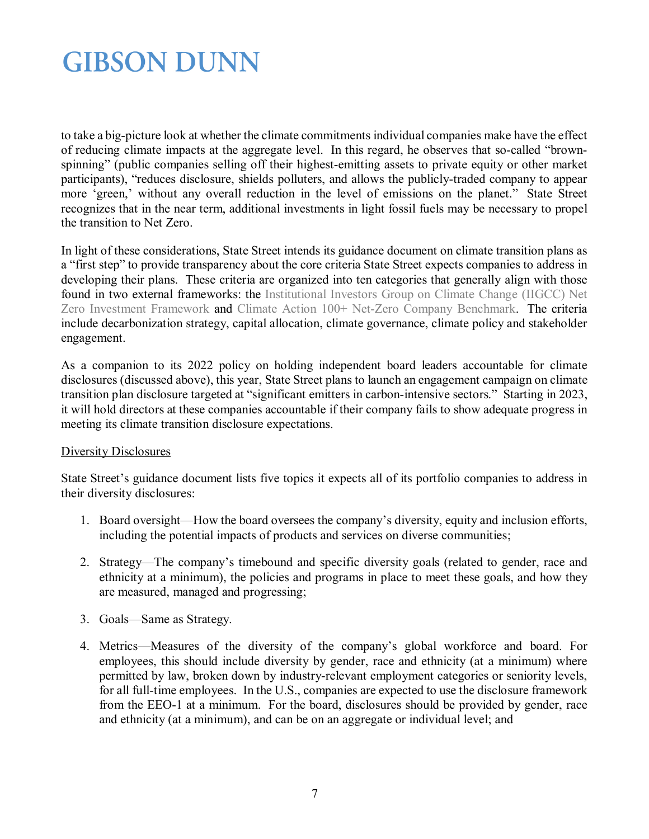to take a big-picture look at whether the climate commitments individual companies make have the effect of reducing climate impacts at the aggregate level. In this regard, he observes that so-called "brownspinning" (public companies selling off their highest-emitting assets to private equity or other market participants), "reduces disclosure, shields polluters, and allows the publicly-traded company to appear more 'green,' without any overall reduction in the level of emissions on the planet." State Street recognizes that in the near term, additional investments in light fossil fuels may be necessary to propel the transition to Net Zero.

In light of these considerations, State Street intends its guidance document on climate transition plans as a "first step" to provide transparency about the core criteria State Street expects companies to address in developing their plans. These criteria are organized into ten categories that generally align with those found in two external frameworks: the [Institutional Investors Group on Climate Change \(IIGCC\) Net](https://www.iigcc.org/download/net-zero-investment-framework-implementation-guide/?wpdmdl=4425&refresh=61ad3362dc1721638740834)  [Zero Investment Framework a](https://www.iigcc.org/download/net-zero-investment-framework-implementation-guide/?wpdmdl=4425&refresh=61ad3362dc1721638740834)nd [Climate Action 100+ Net-Zero Company Benchmark.](https://www.climateaction100.org/progress/net-zero-company-benchmark/) The criteria include decarbonization strategy, capital allocation, climate governance, climate policy and stakeholder engagement.

As a companion to its 2022 policy on holding independent board leaders accountable for climate disclosures (discussed above), this year, State Street plans to launch an engagement campaign on climate transition plan disclosure targeted at "significant emitters in carbon-intensive sectors." Starting in 2023, it will hold directors at these companies accountable if their company fails to show adequate progress in meeting its climate transition disclosure expectations.

### Diversity Disclosures

State Street's guidance document lists five topics it expects all of its portfolio companies to address in their diversity disclosures:

- 1. Board oversight—How the board oversees the company's diversity, equity and inclusion efforts, including the potential impacts of products and services on diverse communities;
- 2. Strategy—The company's timebound and specific diversity goals (related to gender, race and ethnicity at a minimum), the policies and programs in place to meet these goals, and how they are measured, managed and progressing;
- 3. Goals—Same as Strategy.
- 4. Metrics—Measures of the diversity of the company's global workforce and board. For employees, this should include diversity by gender, race and ethnicity (at a minimum) where permitted by law, broken down by industry-relevant employment categories or seniority levels, for all full-time employees. In the U.S., companies are expected to use the disclosure framework from the EEO-1 at a minimum. For the board, disclosures should be provided by gender, race and ethnicity (at a minimum), and can be on an aggregate or individual level; and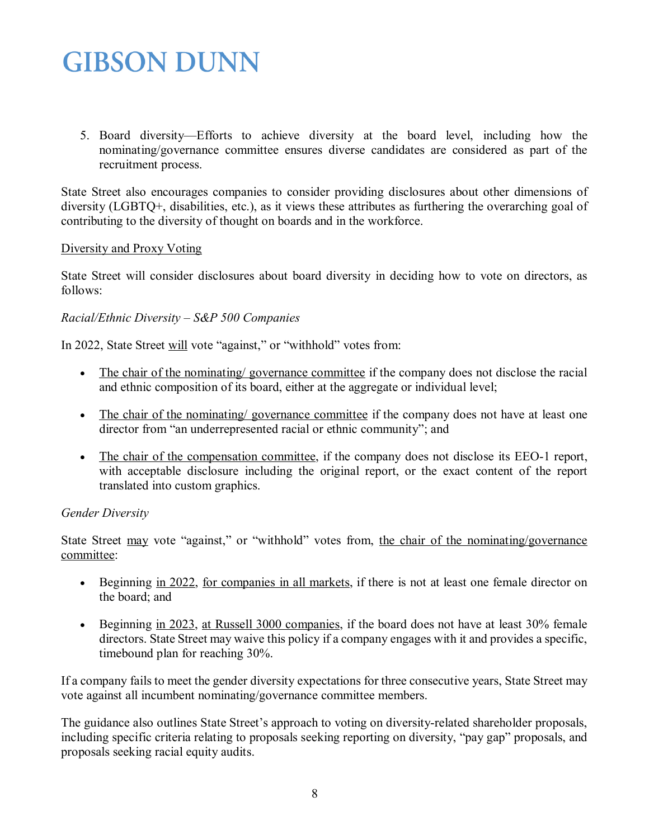5. Board diversity—Efforts to achieve diversity at the board level, including how the nominating/governance committee ensures diverse candidates are considered as part of the recruitment process.

State Street also encourages companies to consider providing disclosures about other dimensions of diversity (LGBTQ+, disabilities, etc.), as it views these attributes as furthering the overarching goal of contributing to the diversity of thought on boards and in the workforce.

### Diversity and Proxy Voting

State Street will consider disclosures about board diversity in deciding how to vote on directors, as follows:

### *Racial/Ethnic Diversity – S&P 500 Companies*

In 2022, State Street will vote "against," or "withhold" votes from:

- The chair of the nominating/governance committee if the company does not disclose the racial and ethnic composition of its board, either at the aggregate or individual level;
- The chair of the nominating/ governance committee if the company does not have at least one director from "an underrepresented racial or ethnic community"; and
- The chair of the compensation committee, if the company does not disclose its EEO-1 report, with acceptable disclosure including the original report, or the exact content of the report translated into custom graphics.

### *Gender Diversity*

State Street may vote "against," or "withhold" votes from, the chair of the nominating/governance committee:

- Beginning in 2022, for companies in all markets, if there is not at least one female director on the board; and
- Beginning in 2023, at Russell 3000 companies, if the board does not have at least 30% female directors. State Street may waive this policy if a company engages with it and provides a specific, timebound plan for reaching 30%.

If a company fails to meet the gender diversity expectations for three consecutive years, State Street may vote against all incumbent nominating/governance committee members.

The guidance also outlines State Street's approach to voting on diversity-related shareholder proposals, including specific criteria relating to proposals seeking reporting on diversity, "pay gap" proposals, and proposals seeking racial equity audits.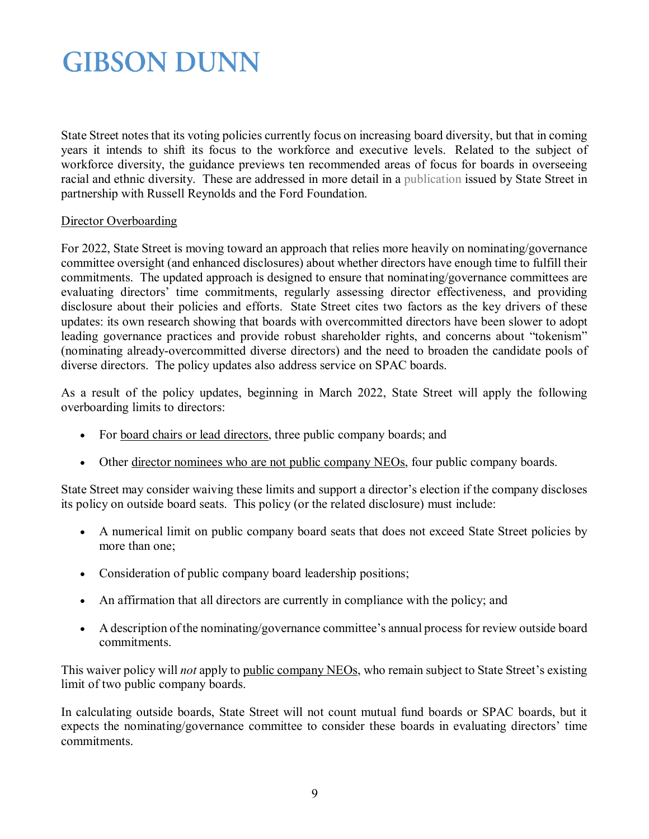State Street notes that its voting policies currently focus on increasing board diversity, but that in coming years it intends to shift its focus to the workforce and executive levels. Related to the subject of workforce diversity, the guidance previews ten recommended areas of focus for boards in overseeing racial and ethnic diversity. These are addressed in more detail in a [publication](https://www.ssga.com/library-content/pdfs/global/boards-oversight-of-racial-and-ethnic-diversity.pdf) issued by State Street in partnership with Russell Reynolds and the Ford Foundation.

### Director Overboarding

For 2022, State Street is moving toward an approach that relies more heavily on nominating/governance committee oversight (and enhanced disclosures) about whether directors have enough time to fulfill their commitments. The updated approach is designed to ensure that nominating/governance committees are evaluating directors' time commitments, regularly assessing director effectiveness, and providing disclosure about their policies and efforts. State Street cites two factors as the key drivers of these updates: its own research showing that boards with overcommitted directors have been slower to adopt leading governance practices and provide robust shareholder rights, and concerns about "tokenism" (nominating already-overcommitted diverse directors) and the need to broaden the candidate pools of diverse directors. The policy updates also address service on SPAC boards.

As a result of the policy updates, beginning in March 2022, State Street will apply the following overboarding limits to directors:

- For board chairs or lead directors, three public company boards; and
- Other director nominees who are not public company NEOs, four public company boards.

State Street may consider waiving these limits and support a director's election if the company discloses its policy on outside board seats. This policy (or the related disclosure) must include:

- A numerical limit on public company board seats that does not exceed State Street policies by more than one;
- Consideration of public company board leadership positions;
- An affirmation that all directors are currently in compliance with the policy; and
- A description of the nominating/governance committee's annual process for review outside board commitments.

This waiver policy will *not* apply to public company NEOs, who remain subject to State Street's existing limit of two public company boards.

In calculating outside boards, State Street will not count mutual fund boards or SPAC boards, but it expects the nominating/governance committee to consider these boards in evaluating directors' time commitments.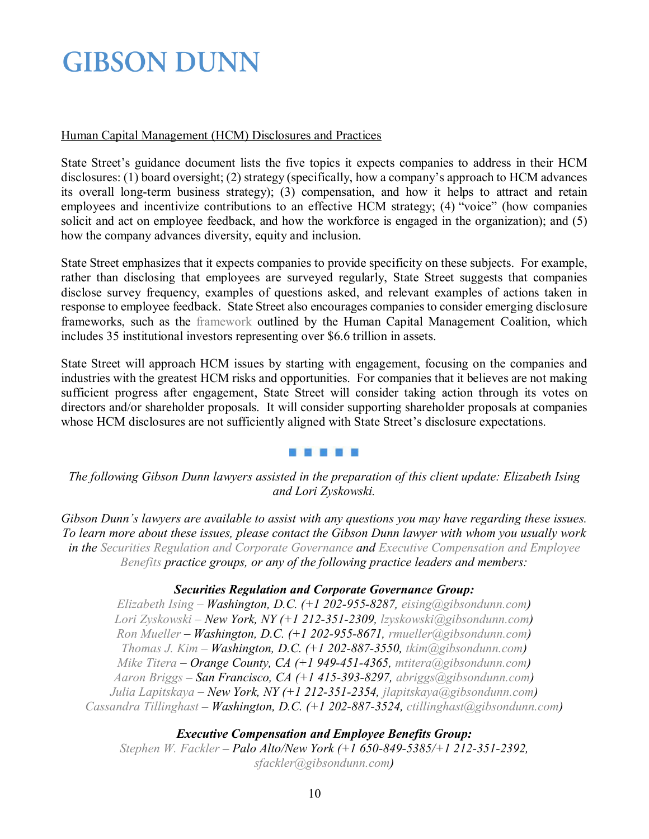### Human Capital Management (HCM) Disclosures and Practices

State Street's guidance document lists the five topics it expects companies to address in their HCM disclosures: (1) board oversight; (2) strategy (specifically, how a company's approach to HCM advances its overall long-term business strategy); (3) compensation, and how it helps to attract and retain employees and incentivize contributions to an effective HCM strategy; (4) "voice" (how companies solicit and act on employee feedback, and how the workforce is engaged in the organization); and (5) how the company advances diversity, equity and inclusion.

State Street emphasizes that it expects companies to provide specificity on these subjects. For example, rather than disclosing that employees are surveyed regularly, State Street suggests that companies disclose survey frequency, examples of questions asked, and relevant examples of actions taken in response to employee feedback. State Street also encourages companies to consider emerging disclosure frameworks, such as the [framework](https://www.hcmcoalition.org/foundational-reporting) outlined by the Human Capital Management Coalition, which includes 35 institutional investors representing over \$6.6 trillion in assets.

State Street will approach HCM issues by starting with engagement, focusing on the companies and industries with the greatest HCM risks and opportunities. For companies that it believes are not making sufficient progress after engagement, State Street will consider taking action through its votes on directors and/or shareholder proposals. It will consider supporting shareholder proposals at companies whose HCM disclosures are not sufficiently aligned with State Street's disclosure expectations.

#### . . . . .

*The following Gibson Dunn lawyers assisted in the preparation of this client update: Elizabeth Ising and Lori Zyskowski.*

*Gibson Dunn's lawyers are available to assist with any questions you may have regarding these issues. To learn more about these issues, please contact the Gibson Dunn lawyer with whom you usually work in the [Securities Regulation and Corporate Governance](https://www.gibsondunn.com/practice/securities-regulation-and-corporate-governance/) and [Executive Compensation and Employee](https://www.gibsondunn.com/practice/executive-compensation-employee-benefits/)  [Benefits](https://www.gibsondunn.com/practice/executive-compensation-employee-benefits/) practice groups, or any of the following practice leaders and members:*

### *Securities Regulation and Corporate Governance Group:*

*[Elizabeth Ising](https://www.gibsondunn.com/lawyer/ising-elizabeth-a/) – Washington, D.C. (+1 202-955-8287, [eising@gibsondunn.com\)](mailto:eising@gibsondunn.com) [Lori Zyskowski](https://www.gibsondunn.com/lawyer/zyskowski-lori/) – New York, NY (+1 212-351-2309, [lzyskowski@gibsondunn.com\)](mailto:lzyskowski@gibsondunn.com) [Ron Mueller](https://www.gibsondunn.com/lawyer/mueller-ronald-o/) – Washington, D.C. (+1 202-955-8671, [rmueller@gibsondunn.com\)](mailto:rmueller@gibsondunn.com) [Thomas J. Kim](https://www.gibsondunn.com/lawyer/kim-thomas-j/) – Washington, D.C. (+1 202-887-3550, [tkim@gibsondunn.com\)](mailto:tkim@gibsondunn.com) [Mike Titera](https://www.gibsondunn.com/lawyer/titera-michael-a/) – Orange County, CA (+1 949-451-4365, [mtitera@gibsondunn.com\)](mailto:mtitera@gibsondunn.com) [Aaron Briggs](https://www.gibsondunn.com/lawyer/briggs-aaron-k/) – San Francisco, CA (+1 415-393-8297, [abriggs@gibsondunn.com\)](mailto:abriggs@gibsondunn.com) [Julia Lapitskaya](https://www.gibsondunn.com/lawyer/lapitskaya-julia/) – New York, NY (+1 212-351-2354, [jlapitskaya@gibsondunn.com\)](mailto:jlapitskaya@gibsondunn.com) [Cassandra Tillinghast](https://www.gibsondunn.com/lawyer/tillinghast-cassandra-l/) – Washington, D.C. (+1 202-887-3524, [ctillinghast@gibsondunn.com\)](mailto:ctillinghast@gibsondunn.com)*

*Executive Compensation and Employee Benefits Group: [Stephen W. Fackler](https://www.gibsondunn.com/lawyer/fackler-stephen-w/) – Palo Alto/New York (+1 650-849-5385/+1 212-351-2392, [sfackler@gibsondunn.com\)](mailto:sfackler@gibsondunn.com)*